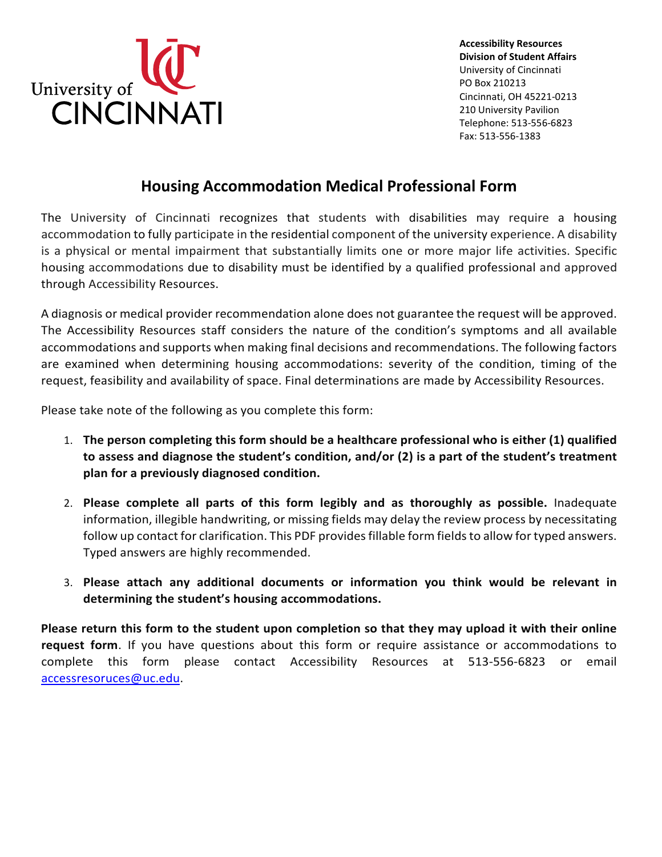

**Accessibility Resources Division of Student Affairs** University of Cincinnati PO Box 210213 Cincinnati, OH 45221-0213 210 University Pavilion Telephone: 513-556-6823 Fax: 513-556-1383

## **Housing Accommodation Medical Professional Form**

The University of Cincinnati recognizes that students with disabilities may require a housing accommodation to fully participate in the residential component of the university experience. A disability is a physical or mental impairment that substantially limits one or more major life activities. Specific housing accommodations due to disability must be identified by a qualified professional and approved through Accessibility Resources.

A diagnosis or medical provider recommendation alone does not guarantee the request will be approved. The Accessibility Resources staff considers the nature of the condition's symptoms and all available accommodations and supports when making final decisions and recommendations. The following factors are examined when determining housing accommodations: severity of the condition, timing of the request, feasibility and availability of space. Final determinations are made by Accessibility Resources.

Please take note of the following as you complete this form:

- 1. **The person completing this form should be a healthcare professional who is either (1) qualified to assess and diagnose the student's condition, and/or (2) is a part of the student's treatment plan for a previously diagnosed condition.**
- 2. **Please complete all parts of this form legibly and as thoroughly as possible.** Inadequate information, illegible handwriting, or missing fields may delay the review process by necessitating follow up contact for clarification. This PDF provides fillable form fields to allow for typed answers. Typed answers are highly recommended.
- 3. **Please attach any additional documents or information you think would be relevant in determining the student's housing accommodations.**

**Please return this form to the student upon completion so that they may upload it with their online request form**. If you have questions about this form or require assistance or accommodations to complete this form please contact Accessibility Resources at 513-556-6823 or email [accessresoruces@uc.edu.](mailto:accessresoruces@uc.edu)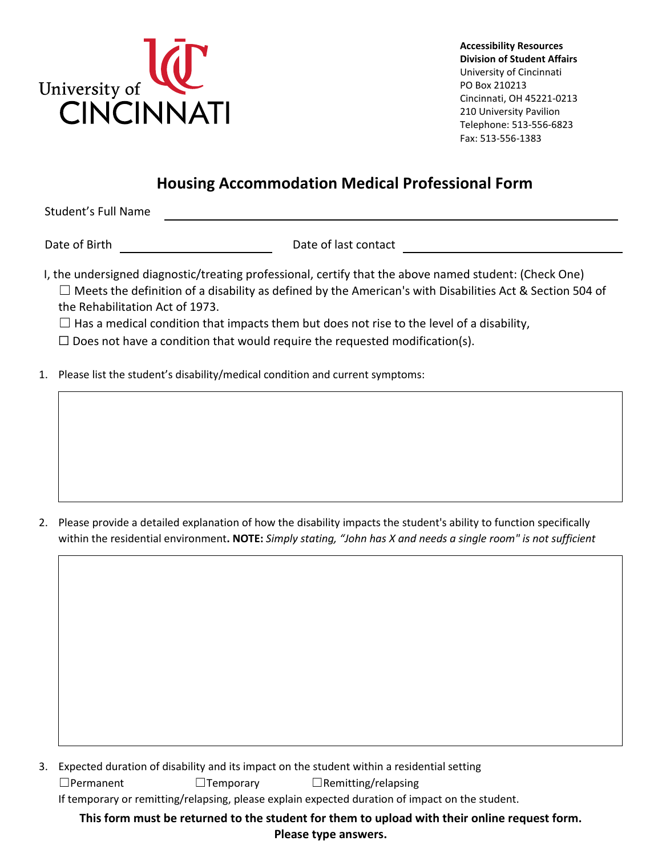

**Accessibility Resources Division of Student Affairs** University of Cincinnati PO Box 210213 Cincinnati, OH 45221-0213 210 University Pavilion Telephone: 513-556-6823 Fax: 513-556-1383

## **Housing Accommodation Medical Professional Form**

Student's Full Name

Date of Birth Date of last contact

I, the undersigned diagnostic/treating professional, certify that the above named student: (Check One)

 $\Box$  Meets the definition of a disability as defined by the American's with Disabilities Act & Section 504 of the Rehabilitation Act of 1973.

 $\Box$  Has a medical condition that impacts them but does not rise to the level of a disability,

 $\Box$  Does not have a condition that would require the requested modification(s).

1. Please list the student's disability/medical condition and current symptoms:

2. Please provide a detailed explanation of how the disability impacts the student's ability to function specifically within the residential environment**. NOTE:** *Simply stating, "John has X and needs a single room" is not sufficient*

3. Expected duration of disability and its impact on the student within a residential setting

☐Permanent ☐Temporary ☐Remitting/relapsing

If temporary or remitting/relapsing, please explain expected duration of impact on the student.

**This form must be returned to the student for them to upload with their online request form.**

**Please type answers.**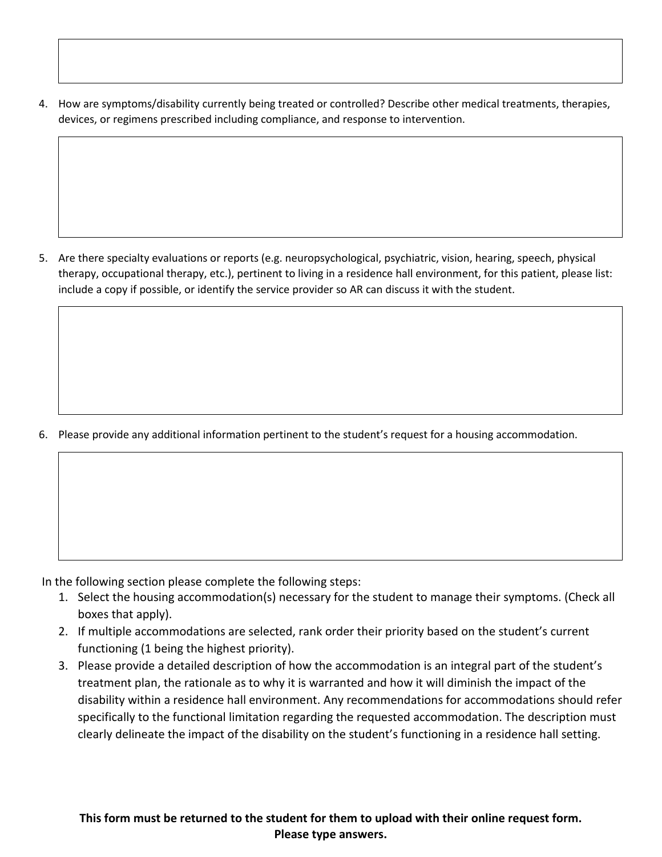4. How are symptoms/disability currently being treated or controlled? Describe other medical treatments, therapies, devices, or regimens prescribed including compliance, and response to intervention.

5. Are there specialty evaluations or reports (e.g. neuropsychological, psychiatric, vision, hearing, speech, physical therapy, occupational therapy, etc.), pertinent to living in a residence hall environment, for this patient, please list: include a copy if possible, or identify the service provider so AR can discuss it with the student.

6. Please provide any additional information pertinent to the student's request for a housing accommodation.

In the following section please complete the following steps:

- 1. Select the housing accommodation(s) necessary for the student to manage their symptoms. (Check all boxes that apply).
- 2. If multiple accommodations are selected, rank order their priority based on the student's current functioning (1 being the highest priority).
- 3. Please provide a detailed description of how the accommodation is an integral part of the student's treatment plan, the rationale as to why it is warranted and how it will diminish the impact of the disability within a residence hall environment. Any recommendations for accommodations should refer specifically to the functional limitation regarding the requested accommodation. The description must clearly delineate the impact of the disability on the student's functioning in a residence hall setting.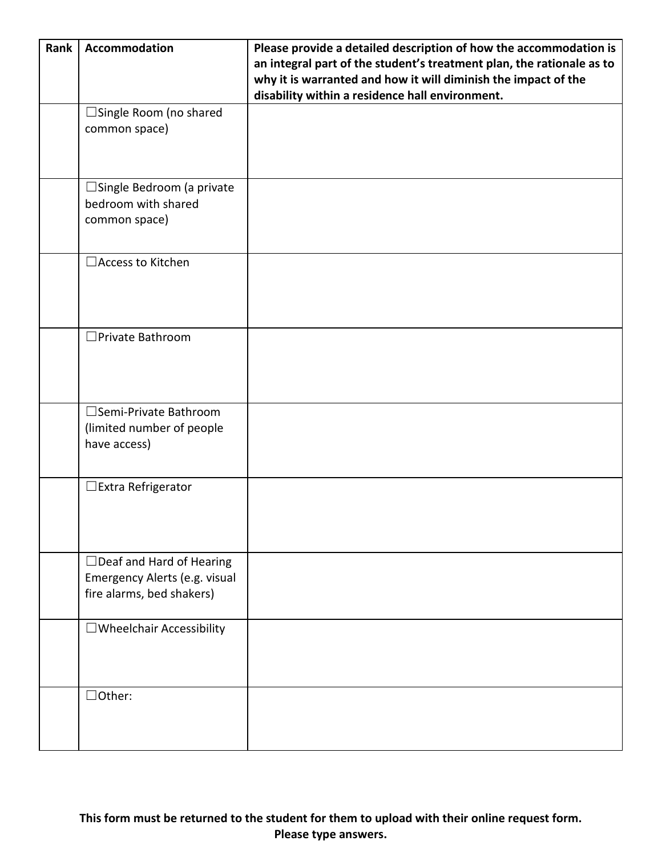| Rank | Accommodation                                                                                 | Please provide a detailed description of how the accommodation is<br>an integral part of the student's treatment plan, the rationale as to<br>why it is warranted and how it will diminish the impact of the<br>disability within a residence hall environment. |
|------|-----------------------------------------------------------------------------------------------|-----------------------------------------------------------------------------------------------------------------------------------------------------------------------------------------------------------------------------------------------------------------|
|      | □ Single Room (no shared<br>common space)                                                     |                                                                                                                                                                                                                                                                 |
|      | $\Box$ Single Bedroom (a private<br>bedroom with shared<br>common space)                      |                                                                                                                                                                                                                                                                 |
|      | □ Access to Kitchen                                                                           |                                                                                                                                                                                                                                                                 |
|      | □ Private Bathroom                                                                            |                                                                                                                                                                                                                                                                 |
|      | □Semi-Private Bathroom<br>(limited number of people<br>have access)                           |                                                                                                                                                                                                                                                                 |
|      | $\Box$ Extra Refrigerator                                                                     |                                                                                                                                                                                                                                                                 |
|      | $\Box$ Deaf and Hard of Hearing<br>Emergency Alerts (e.g. visual<br>fire alarms, bed shakers) |                                                                                                                                                                                                                                                                 |
|      | $\Box$ Wheelchair Accessibility                                                               |                                                                                                                                                                                                                                                                 |
|      | $\Box$ Other:                                                                                 |                                                                                                                                                                                                                                                                 |